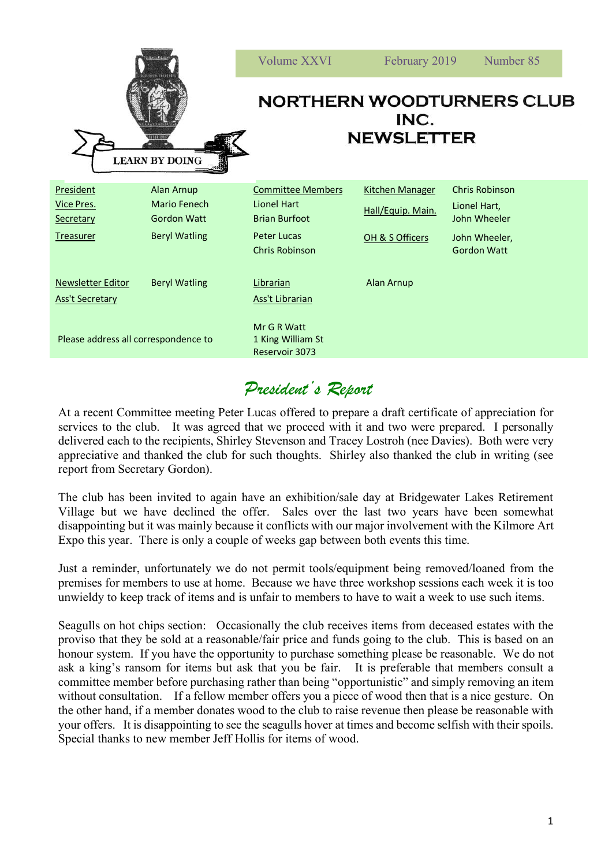| 1111111<br><b>LEARN BY DOING</b>                                |                                                                                 | Volume XXVI                                                                                                    | February 2019                                                  | Number 85                                                                             |
|-----------------------------------------------------------------|---------------------------------------------------------------------------------|----------------------------------------------------------------------------------------------------------------|----------------------------------------------------------------|---------------------------------------------------------------------------------------|
|                                                                 |                                                                                 | <b>NORTHERN WOODTURNERS CLUB</b><br>INC.<br><b>NEWSLETTER</b>                                                  |                                                                |                                                                                       |
| <b>President</b><br>Vice Pres.<br>Secretary<br><b>Treasurer</b> | <b>Alan Arnup</b><br>Mario Fenech<br><b>Gordon Watt</b><br><b>Beryl Watling</b> | <b>Committee Members</b><br>Lionel Hart<br><b>Brian Burfoot</b><br><b>Peter Lucas</b><br><b>Chris Robinson</b> | <b>Kitchen Manager</b><br>Hall/Equip. Main.<br>OH & S Officers | Chris Robinson<br>Lionel Hart,<br>John Wheeler<br>John Wheeler,<br><b>Gordon Watt</b> |
| Newsletter Editor<br><b>Ass't Secretary</b>                     | <b>Beryl Watling</b>                                                            | Librarian<br>Ass't Librarian                                                                                   | Alan Arnup                                                     |                                                                                       |
| Please address all correspondence to                            |                                                                                 | Mr G R Watt<br>1 King William St<br>Reservoir 3073                                                             |                                                                |                                                                                       |

## *President's Report*

At a recent Committee meeting Peter Lucas offered to prepare a draft certificate of appreciation for services to the club. It was agreed that we proceed with it and two were prepared. I personally delivered each to the recipients, Shirley Stevenson and Tracey Lostroh (nee Davies). Both were very appreciative and thanked the club for such thoughts. Shirley also thanked the club in writing (see report from Secretary Gordon).

The club has been invited to again have an exhibition/sale day at Bridgewater Lakes Retirement Village but we have declined the offer. Sales over the last two years have been somewhat disappointing but it was mainly because it conflicts with our major involvement with the Kilmore Art Expo this year. There is only a couple of weeks gap between both events this time.

Just a reminder, unfortunately we do not permit tools/equipment being removed/loaned from the premises for members to use at home. Because we have three workshop sessions each week it is too unwieldy to keep track of items and is unfair to members to have to wait a week to use such items.

Seagulls on hot chips section: Occasionally the club receives items from deceased estates with the proviso that they be sold at a reasonable/fair price and funds going to the club. This is based on an honour system. If you have the opportunity to purchase something please be reasonable. We do not ask a king's ransom for items but ask that you be fair. It is preferable that members consult a committee member before purchasing rather than being "opportunistic" and simply removing an item without consultation. If a fellow member offers you a piece of wood then that is a nice gesture. On the other hand, if a member donates wood to the club to raise revenue then please be reasonable with your offers. It is disappointing to see the seagulls hover at times and become selfish with their spoils. Special thanks to new member Jeff Hollis for items of wood.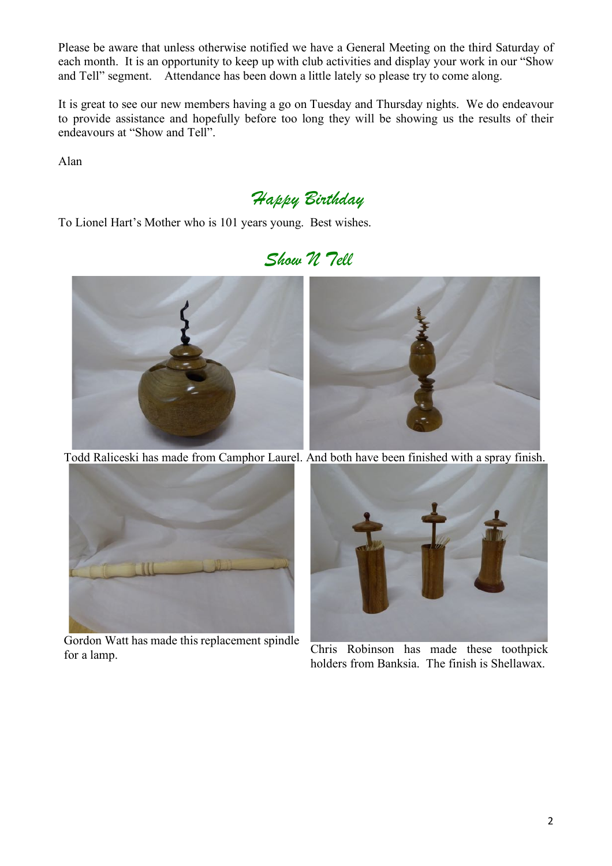Please be aware that unless otherwise notified we have a General Meeting on the third Saturday of each month. It is an opportunity to keep up with club activities and display your work in our "Show and Tell" segment. Attendance has been down a little lately so please try to come along.

It is great to see our new members having a go on Tuesday and Thursday nights. We do endeavour to provide assistance and hopefully before too long they will be showing us the results of their endeavours at "Show and Tell".

Alan

*Happy Birthday*

To Lionel Hart's Mother who is 101 years young. Best wishes.

*Show N Tell*



Todd Raliceski has made from Camphor Laurel. And both have been finished with a spray finish.



Gordon Watt has made this replacement spindle for a lamp.



holders from Banksia. The finish is Shellawax.